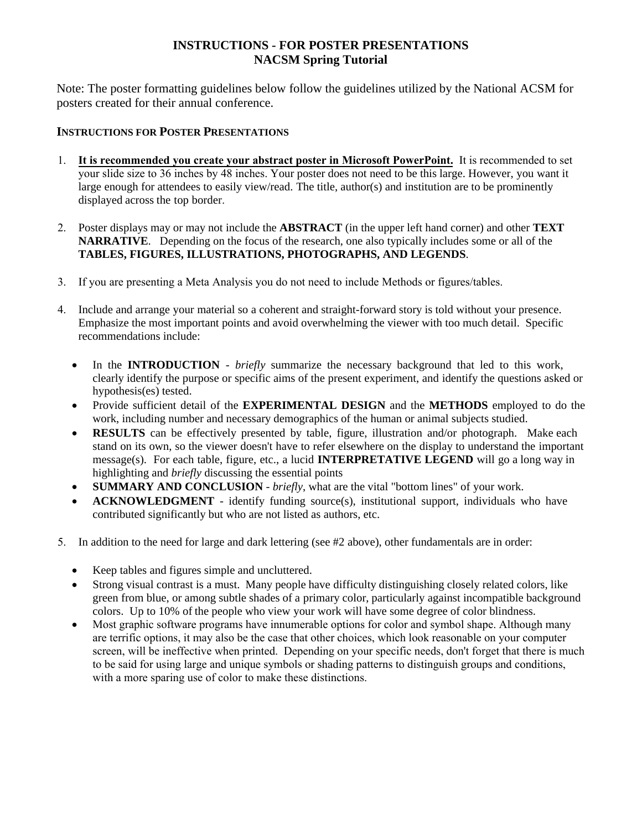## **INSTRUCTIONS - FOR POSTER PRESENTATIONS NACSM Spring Tutorial**

Note: The poster formatting guidelines below follow the guidelines utilized by the National ACSM for posters created for their annual conference.

## **INSTRUCTIONS FOR POSTER PRESENTATIONS**

- 1. **It is recommended you create your abstract poster in Microsoft PowerPoint.** It is recommended to set your slide size to 36 inches by 48 inches. Your poster does not need to be this large. However, you want it large enough for attendees to easily view/read. The title, author(s) and institution are to be prominently displayed across the top border.
- 2. Poster displays may or may not include the **ABSTRACT** (in the upper left hand corner) and other **TEXT NARRATIVE**. Depending on the focus of the research, one also typically includes some or all of the **TABLES, FIGURES, ILLUSTRATIONS, PHOTOGRAPHS, AND LEGENDS**.
- 3. If you are presenting a Meta Analysis you do not need to include Methods or figures/tables.
- 4. Include and arrange your material so a coherent and straight-forward story is told without your presence. Emphasize the most important points and avoid overwhelming the viewer with too much detail. Specific recommendations include:
	- In the **INTRODUCTION** *briefly* summarize the necessary background that led to this work, clearly identify the purpose or specific aims of the present experiment, and identify the questions asked or hypothesis(es) tested.
	- Provide sufficient detail of the **EXPERIMENTAL DESIGN** and the **METHODS** employed to do the work, including number and necessary demographics of the human or animal subjects studied.
	- **RESULTS** can be effectively presented by table, figure, illustration and/or photograph. Make each stand on its own, so the viewer doesn't have to refer elsewhere on the display to understand the important message(s). For each table, figure, etc., a lucid **INTERPRETATIVE LEGEND** will go a long way in highlighting and *briefly* discussing the essential points
	- **SUMMARY AND CONCLUSION** *briefly*, what are the vital "bottom lines" of your work.
	- **ACKNOWLEDGMENT** identify funding source(s), institutional support, individuals who have contributed significantly but who are not listed as authors, etc.
- 5. In addition to the need for large and dark lettering (see #2 above), other fundamentals are in order:
	- Keep tables and figures simple and uncluttered.
	- Strong visual contrast is a must. Many people have difficulty distinguishing closely related colors, like green from blue, or among subtle shades of a primary color, particularly against incompatible background colors. Up to 10% of the people who view your work will have some degree of color blindness.
	- Most graphic software programs have innumerable options for color and symbol shape. Although many are terrific options, it may also be the case that other choices, which look reasonable on your computer screen, will be ineffective when printed. Depending on your specific needs, don't forget that there is much to be said for using large and unique symbols or shading patterns to distinguish groups and conditions, with a more sparing use of color to make these distinctions.